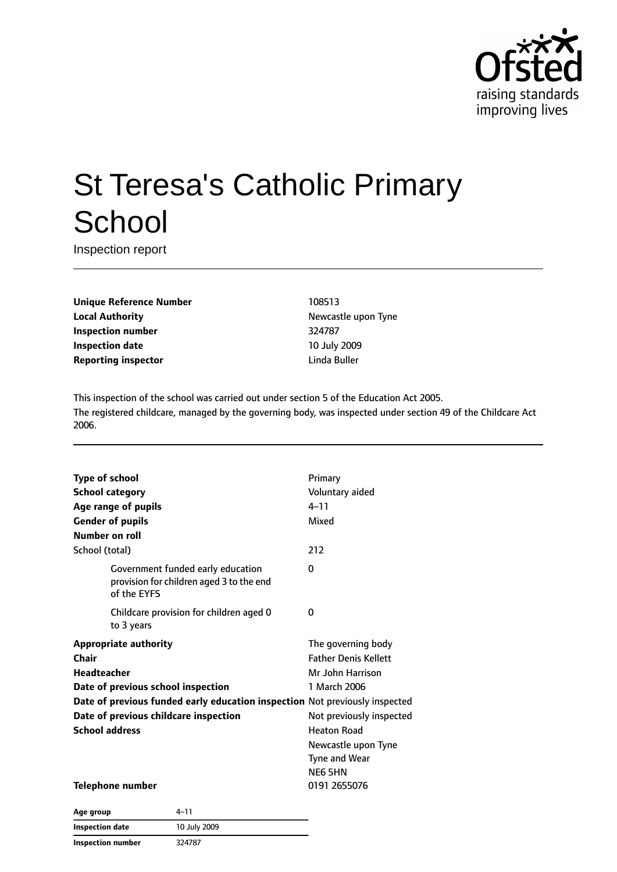

# St Teresa's Catholic Primary **School**

Inspection report

**Unique Reference Number** 108513 **Local Authority Newcastle upon Tyne Inspection number** 324787 **Inspection date** 10 July 2009 **Reporting inspector Contracts Exercise Exercise Exercise A** Linda Buller

This inspection of the school was carried out under section 5 of the Education Act 2005. The registered childcare, managed by the governing body, was inspected under section 49 of the Childcare Act 2006.

| <b>Type of school</b>              |                                                                                              | Primary                     |
|------------------------------------|----------------------------------------------------------------------------------------------|-----------------------------|
| <b>School category</b>             |                                                                                              | Voluntary aided             |
| Age range of pupils                |                                                                                              | $4 - 11$                    |
| <b>Gender of pupils</b>            |                                                                                              | Mixed                       |
| Number on roll                     |                                                                                              |                             |
| School (total)                     |                                                                                              | 212                         |
|                                    | Government funded early education<br>provision for children aged 3 to the end<br>of the EYFS | $\Omega$                    |
|                                    | Childcare provision for children aged 0<br>to 3 years                                        | 0                           |
|                                    | <b>Appropriate authority</b>                                                                 | The governing body          |
| Chair                              |                                                                                              | <b>Father Denis Kellett</b> |
| <b>Headteacher</b>                 |                                                                                              | Mr John Harrison            |
| Date of previous school inspection |                                                                                              | 1 March 2006                |
|                                    | Date of previous funded early education inspection Not previously inspected                  |                             |
|                                    | Date of previous childcare inspection                                                        | Not previously inspected    |
| <b>School address</b>              |                                                                                              | <b>Heaton Road</b>          |
|                                    |                                                                                              | Newcastle upon Tyne         |
|                                    |                                                                                              | Tyne and Wear               |
|                                    |                                                                                              | NE6 5HN                     |
| <b>Telephone number</b>            |                                                                                              | 0191 2655076                |
|                                    | 11                                                                                           |                             |

| Age group         | 4- I I       |
|-------------------|--------------|
| Inspection date   | 10 July 2009 |
| Inspection number | 324787       |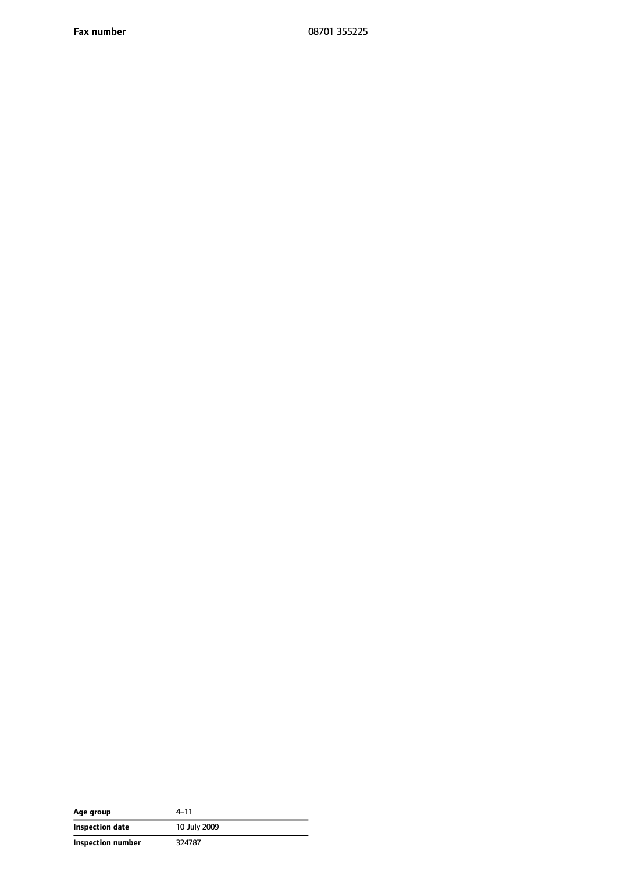**Fax number** 08701 355225

| Age group         | $4 - 11$     |
|-------------------|--------------|
| Inspection date   | 10 July 2009 |
| Inspection number | 324787       |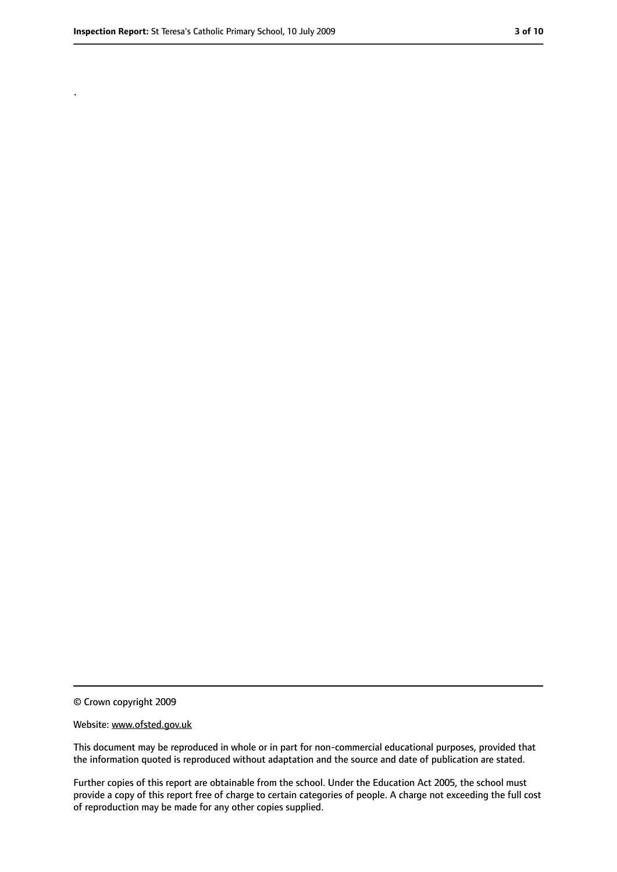.

<sup>©</sup> Crown copyright 2009

Website: www.ofsted.gov.uk

This document may be reproduced in whole or in part for non-commercial educational purposes, provided that the information quoted is reproduced without adaptation and the source and date of publication are stated.

Further copies of this report are obtainable from the school. Under the Education Act 2005, the school must provide a copy of this report free of charge to certain categories of people. A charge not exceeding the full cost of reproduction may be made for any other copies supplied.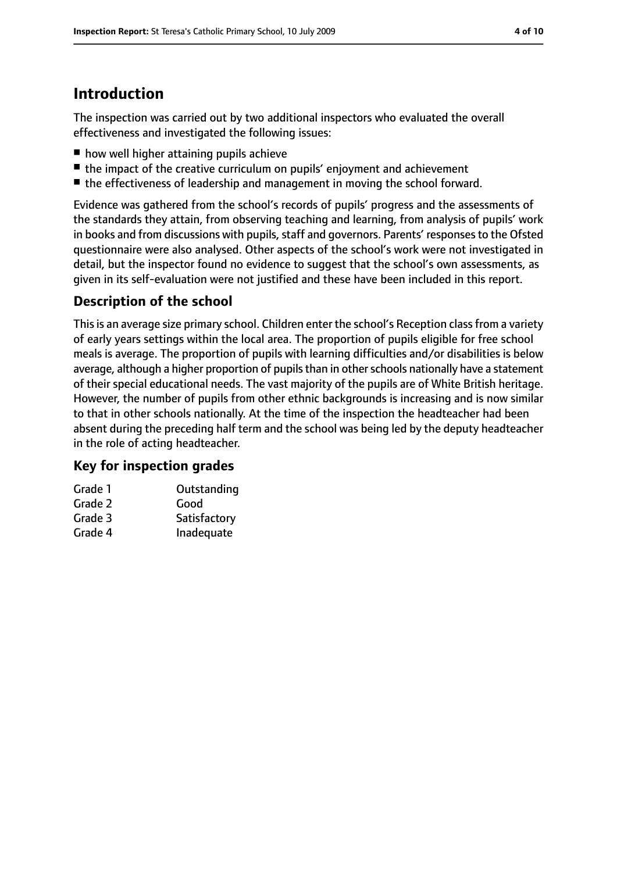# **Introduction**

The inspection was carried out by two additional inspectors who evaluated the overall effectiveness and investigated the following issues:

- how well higher attaining pupils achieve
- the impact of the creative curriculum on pupils' enjoyment and achievement
- the effectiveness of leadership and management in moving the school forward.

Evidence was gathered from the school's records of pupils' progress and the assessments of the standards they attain, from observing teaching and learning, from analysis of pupils' work in books and from discussions with pupils, staff and governors. Parents' responses to the Ofsted questionnaire were also analysed. Other aspects of the school's work were not investigated in detail, but the inspector found no evidence to suggest that the school's own assessments, as given in its self-evaluation were not justified and these have been included in this report.

## **Description of the school**

This is an average size primary school. Children enter the school's Reception class from a variety of early years settings within the local area. The proportion of pupils eligible for free school meals is average. The proportion of pupils with learning difficulties and/or disabilities is below average, although a higher proportion of pupils than in other schools nationally have a statement of their special educational needs. The vast majority of the pupils are of White British heritage. However, the number of pupils from other ethnic backgrounds is increasing and is now similar to that in other schools nationally. At the time of the inspection the headteacher had been absent during the preceding half term and the school was being led by the deputy headteacher in the role of acting headteacher.

#### **Key for inspection grades**

| Grade 1 | Outstanding  |
|---------|--------------|
| Grade 2 | Good         |
| Grade 3 | Satisfactory |
| Grade 4 | Inadequate   |
|         |              |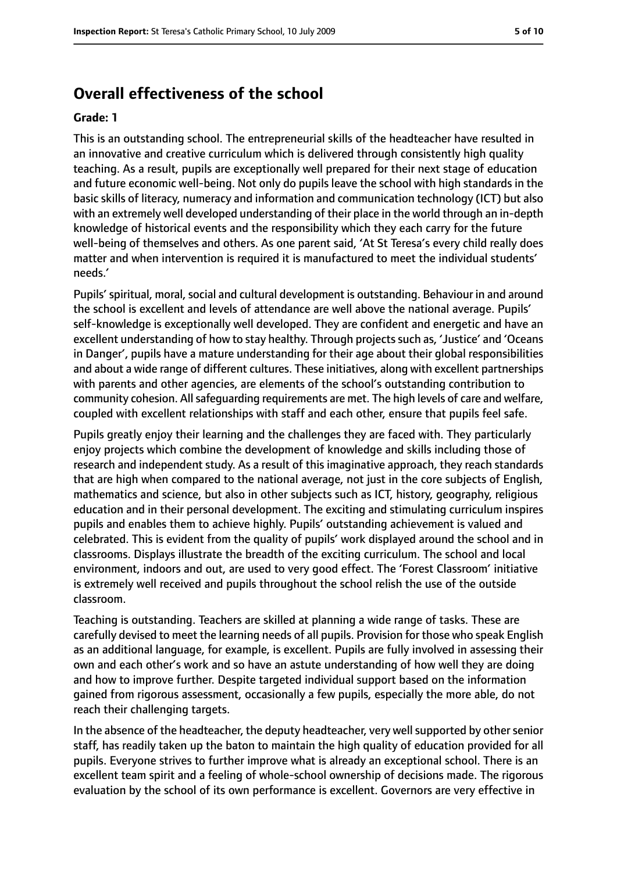#### **Overall effectiveness of the school**

#### **Grade: 1**

This is an outstanding school. The entrepreneurial skills of the headteacher have resulted in an innovative and creative curriculum which is delivered through consistently high quality teaching. As a result, pupils are exceptionally well prepared for their next stage of education and future economic well-being. Not only do pupils leave the school with high standards in the basic skills of literacy, numeracy and information and communication technology (ICT) but also with an extremely well developed understanding of their place in the world through an in-depth knowledge of historical events and the responsibility which they each carry for the future well-being of themselves and others. As one parent said, 'At St Teresa's every child really does matter and when intervention is required it is manufactured to meet the individual students' needs.'

Pupils' spiritual, moral, social and cultural development is outstanding. Behaviour in and around the school is excellent and levels of attendance are well above the national average. Pupils' self-knowledge is exceptionally well developed. They are confident and energetic and have an excellent understanding of how to stay healthy. Through projects such as, 'Justice' and 'Oceans in Danger', pupils have a mature understanding for their age about their global responsibilities and about a wide range of different cultures. These initiatives, along with excellent partnerships with parents and other agencies, are elements of the school's outstanding contribution to community cohesion. All safeguarding requirements are met. The high levels of care and welfare, coupled with excellent relationships with staff and each other, ensure that pupils feel safe.

Pupils greatly enjoy their learning and the challenges they are faced with. They particularly enjoy projects which combine the development of knowledge and skills including those of research and independent study. As a result of this imaginative approach, they reach standards that are high when compared to the national average, not just in the core subjects of English, mathematics and science, but also in other subjects such as ICT, history, geography, religious education and in their personal development. The exciting and stimulating curriculum inspires pupils and enables them to achieve highly. Pupils' outstanding achievement is valued and celebrated. This is evident from the quality of pupils' work displayed around the school and in classrooms. Displays illustrate the breadth of the exciting curriculum. The school and local environment, indoors and out, are used to very good effect. The 'Forest Classroom' initiative is extremely well received and pupils throughout the school relish the use of the outside classroom.

Teaching is outstanding. Teachers are skilled at planning a wide range of tasks. These are carefully devised to meet the learning needs of all pupils. Provision for those who speak English as an additional language, for example, is excellent. Pupils are fully involved in assessing their own and each other's work and so have an astute understanding of how well they are doing and how to improve further. Despite targeted individual support based on the information gained from rigorous assessment, occasionally a few pupils, especially the more able, do not reach their challenging targets.

In the absence of the headteacher, the deputy headteacher, very well supported by other senior staff, has readily taken up the baton to maintain the high quality of education provided for all pupils. Everyone strives to further improve what is already an exceptional school. There is an excellent team spirit and a feeling of whole-school ownership of decisions made. The rigorous evaluation by the school of its own performance is excellent. Governors are very effective in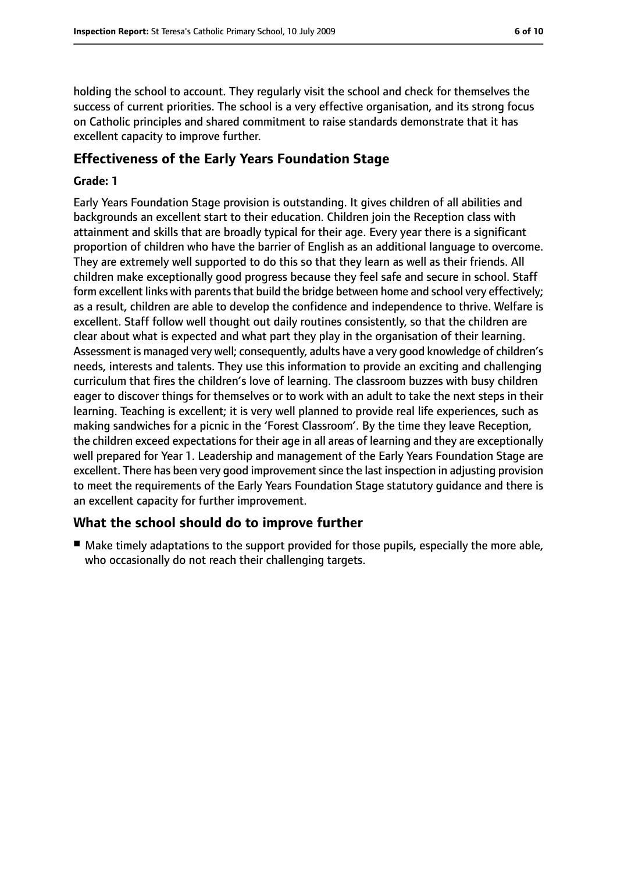holding the school to account. They regularly visit the school and check for themselves the success of current priorities. The school is a very effective organisation, and its strong focus on Catholic principles and shared commitment to raise standards demonstrate that it has excellent capacity to improve further.

#### **Effectiveness of the Early Years Foundation Stage**

#### **Grade: 1**

Early Years Foundation Stage provision is outstanding. It gives children of all abilities and backgrounds an excellent start to their education. Children join the Reception class with attainment and skills that are broadly typical for their age. Every year there is a significant proportion of children who have the barrier of English as an additional language to overcome. They are extremely well supported to do this so that they learn as well as their friends. All children make exceptionally good progress because they feel safe and secure in school. Staff form excellent links with parents that build the bridge between home and school very effectively; as a result, children are able to develop the confidence and independence to thrive. Welfare is excellent. Staff follow well thought out daily routines consistently, so that the children are clear about what is expected and what part they play in the organisation of their learning. Assessment is managed very well; consequently, adults have a very good knowledge of children's needs, interests and talents. They use this information to provide an exciting and challenging curriculum that fires the children's love of learning. The classroom buzzes with busy children eager to discover things for themselves or to work with an adult to take the next steps in their learning. Teaching is excellent; it is very well planned to provide real life experiences, such as making sandwiches for a picnic in the 'Forest Classroom'. By the time they leave Reception, the children exceed expectations for their age in all areas of learning and they are exceptionally well prepared for Year 1. Leadership and management of the Early Years Foundation Stage are excellent. There has been very good improvement since the last inspection in adjusting provision to meet the requirements of the Early Years Foundation Stage statutory guidance and there is an excellent capacity for further improvement.

#### **What the school should do to improve further**

■ Make timely adaptations to the support provided for those pupils, especially the more able, who occasionally do not reach their challenging targets.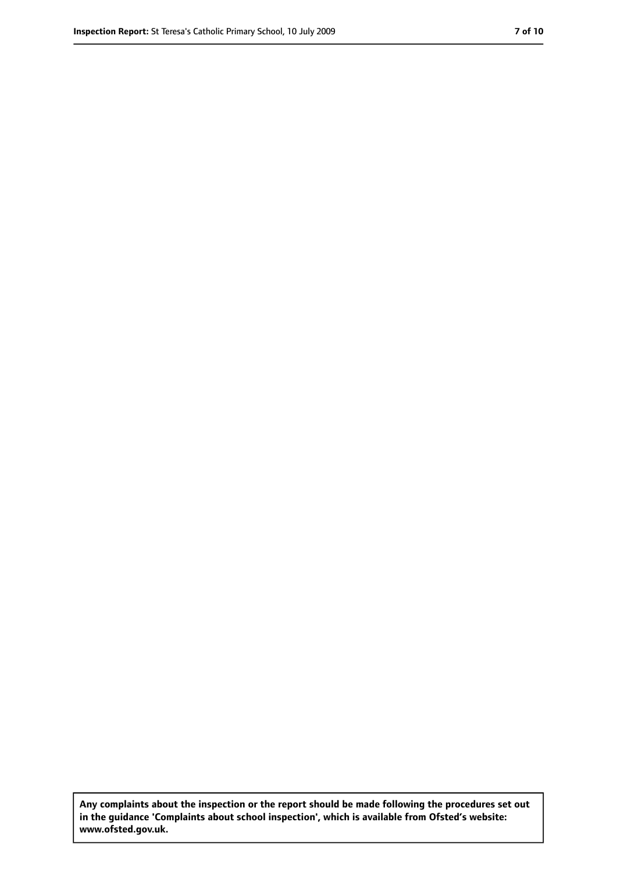**Any complaints about the inspection or the report should be made following the procedures set out in the guidance 'Complaints about school inspection', which is available from Ofsted's website: www.ofsted.gov.uk.**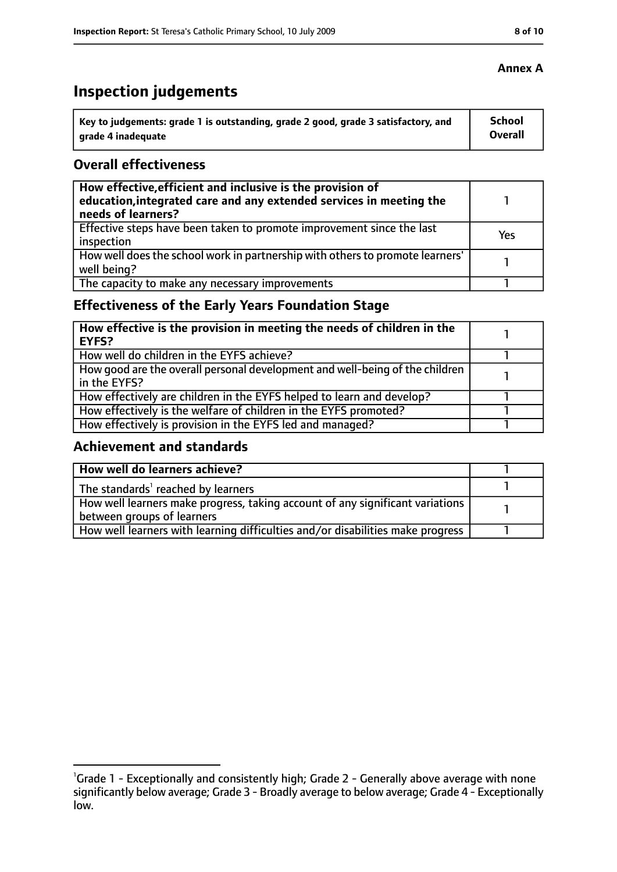# **Inspection judgements**

| Key to judgements: grade 1 is outstanding, grade 2 good, grade 3 satisfactory, and | School  |
|------------------------------------------------------------------------------------|---------|
| arade 4 inadequate                                                                 | Overall |

#### **Overall effectiveness**

| How effective, efficient and inclusive is the provision of<br>education, integrated care and any extended services in meeting the<br>needs of learners? |     |
|---------------------------------------------------------------------------------------------------------------------------------------------------------|-----|
| Effective steps have been taken to promote improvement since the last<br>inspection                                                                     | Yes |
| How well does the school work in partnership with others to promote learners'<br>well being?                                                            |     |
| The capacity to make any necessary improvements                                                                                                         |     |

## **Effectiveness of the Early Years Foundation Stage**

| How effective is the provision in meeting the needs of children in the<br><b>EYFS?</b>       |  |
|----------------------------------------------------------------------------------------------|--|
| How well do children in the EYFS achieve?                                                    |  |
| How good are the overall personal development and well-being of the children<br>in the EYFS? |  |
| How effectively are children in the EYFS helped to learn and develop?                        |  |
| How effectively is the welfare of children in the EYFS promoted?                             |  |
| How effectively is provision in the EYFS led and managed?                                    |  |

#### **Achievement and standards**

| How well do learners achieve?                                                               |  |
|---------------------------------------------------------------------------------------------|--|
| $\vert$ The standards <sup>1</sup> reached by learners                                      |  |
| $\mid$ How well learners make progress, taking account of any significant variations $\mid$ |  |
| between groups of learners                                                                  |  |
| How well learners with learning difficulties and/or disabilities make progress              |  |

<sup>&</sup>lt;sup>1</sup>Grade 1 - Exceptionally and consistently high; Grade 2 - Generally above average with none significantly below average; Grade 3 - Broadly average to below average; Grade 4 - Exceptionally low.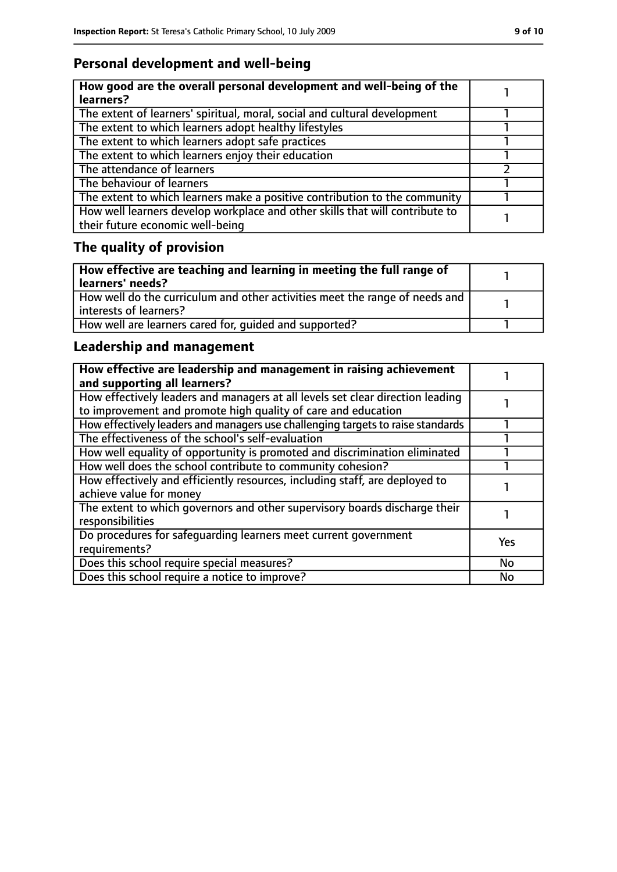## **Personal development and well-being**

| How good are the overall personal development and well-being of the<br>learners?                                 |  |
|------------------------------------------------------------------------------------------------------------------|--|
| The extent of learners' spiritual, moral, social and cultural development                                        |  |
| The extent to which learners adopt healthy lifestyles                                                            |  |
| The extent to which learners adopt safe practices                                                                |  |
| The extent to which learners enjoy their education                                                               |  |
| The attendance of learners                                                                                       |  |
| The behaviour of learners                                                                                        |  |
| The extent to which learners make a positive contribution to the community                                       |  |
| How well learners develop workplace and other skills that will contribute to<br>their future economic well-being |  |

# **The quality of provision**

| How effective are teaching and learning in meeting the full range of<br>learners' needs?              |  |
|-------------------------------------------------------------------------------------------------------|--|
| How well do the curriculum and other activities meet the range of needs and<br>interests of learners? |  |
| How well are learners cared for, quided and supported?                                                |  |

## **Leadership and management**

| How effective are leadership and management in raising achievement<br>and supporting all learners?                                              |     |
|-------------------------------------------------------------------------------------------------------------------------------------------------|-----|
| How effectively leaders and managers at all levels set clear direction leading<br>to improvement and promote high quality of care and education |     |
| How effectively leaders and managers use challenging targets to raise standards                                                                 |     |
| The effectiveness of the school's self-evaluation                                                                                               |     |
| How well equality of opportunity is promoted and discrimination eliminated                                                                      |     |
| How well does the school contribute to community cohesion?                                                                                      |     |
| How effectively and efficiently resources, including staff, are deployed to<br>achieve value for money                                          |     |
| The extent to which governors and other supervisory boards discharge their<br>responsibilities                                                  |     |
| Do procedures for safequarding learners meet current government<br>requirements?                                                                | Yes |
| Does this school require special measures?                                                                                                      | No  |
| Does this school require a notice to improve?                                                                                                   | No  |